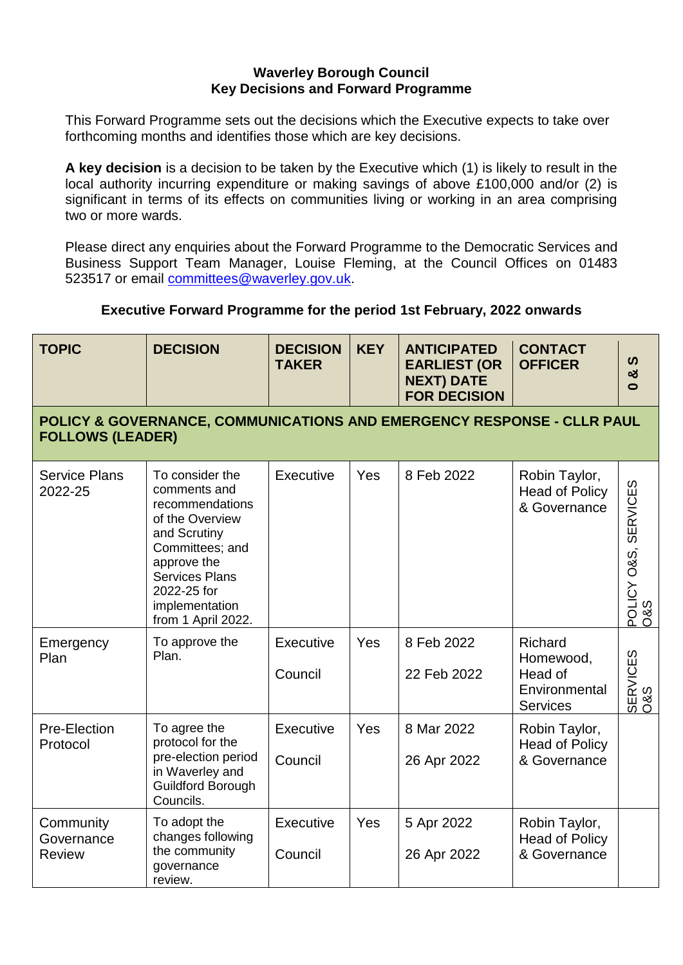## **Waverley Borough Council Key Decisions and Forward Programme**

This Forward Programme sets out the decisions which the Executive expects to take over forthcoming months and identifies those which are key decisions.

**A key decision** is a decision to be taken by the Executive which (1) is likely to result in the local authority incurring expenditure or making savings of above £100,000 and/or (2) is significant in terms of its effects on communities living or working in an area comprising two or more wards.

Please direct any enquiries about the Forward Programme to the Democratic Services and Business Support Team Manager, Louise Fleming, at the Council Offices on 01483 523517 or email [committees@waverley.gov.uk.](mailto:committees@waverley.gov.uk)

## **Executive Forward Programme for the period 1st February, 2022 onwards**

| <b>TOPIC</b>                             | <b>DECISION</b>                                                                                                                                                                                         | <b>DECISION</b><br><b>TAKER</b> | <b>KEY</b> | <b>ANTICIPATED</b><br><b>EARLIEST (OR</b><br><b>NEXT) DATE</b><br><b>FOR DECISION</b> | <b>CONTACT</b><br><b>OFFICER</b>                                    | $\boldsymbol{\omega}$<br>ఱ<br>0 |
|------------------------------------------|---------------------------------------------------------------------------------------------------------------------------------------------------------------------------------------------------------|---------------------------------|------------|---------------------------------------------------------------------------------------|---------------------------------------------------------------------|---------------------------------|
| <b>FOLLOWS (LEADER)</b>                  | POLICY & GOVERNANCE, COMMUNICATIONS AND EMERGENCY RESPONSE - CLLR PAUL                                                                                                                                  |                                 |            |                                                                                       |                                                                     |                                 |
| <b>Service Plans</b><br>2022-25          | To consider the<br>comments and<br>recommendations<br>of the Overview<br>and Scrutiny<br>Committees; and<br>approve the<br><b>Services Plans</b><br>2022-25 for<br>implementation<br>from 1 April 2022. | Executive                       | Yes        | 8 Feb 2022                                                                            | Robin Taylor,<br><b>Head of Policy</b><br>& Governance              | POLICY O&S, SERVICES<br>O&S     |
| Emergency<br>Plan                        | To approve the<br>Plan.                                                                                                                                                                                 | Executive<br>Council            | Yes        | 8 Feb 2022<br>22 Feb 2022                                                             | Richard<br>Homewood,<br>Head of<br>Environmental<br><b>Services</b> | <b>SERVICES</b><br>08S          |
| Pre-Election<br>Protocol                 | To agree the<br>protocol for the<br>pre-election period<br>in Waverley and<br><b>Guildford Borough</b><br>Councils.                                                                                     | Executive<br>Council            | Yes        | 8 Mar 2022<br>26 Apr 2022                                                             | Robin Taylor,<br><b>Head of Policy</b><br>& Governance              |                                 |
| Community<br>Governance<br><b>Review</b> | To adopt the<br>changes following<br>the community<br>governance<br>review.                                                                                                                             | Executive<br>Council            | Yes        | 5 Apr 2022<br>26 Apr 2022                                                             | Robin Taylor,<br><b>Head of Policy</b><br>& Governance              |                                 |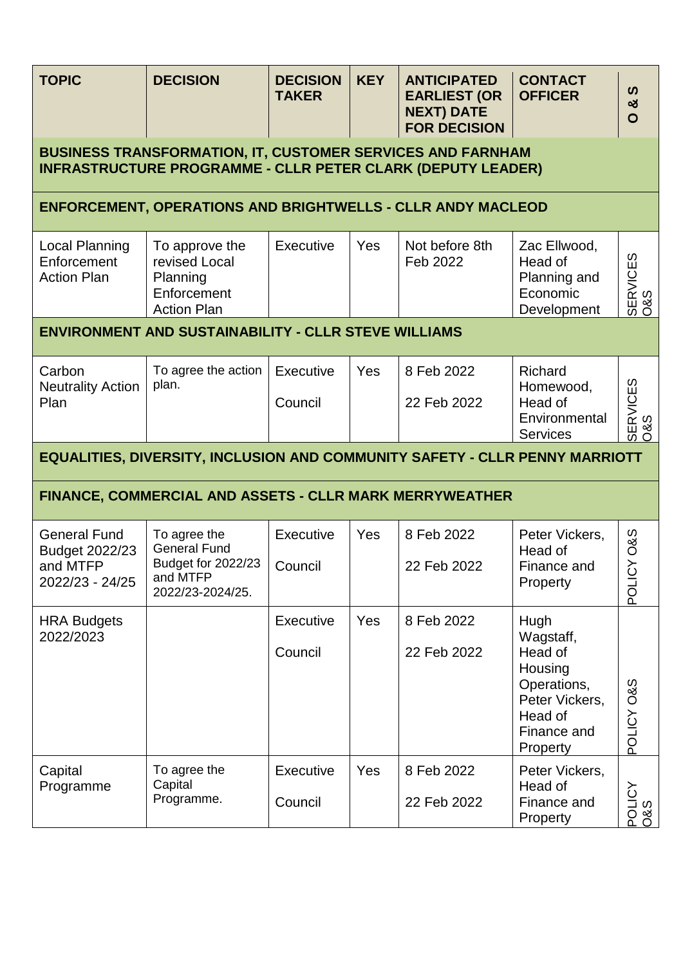| <b>TOPIC</b>                                                                                                                            | <b>DECISION</b>                                                                           | <b>DECISION</b><br><b>TAKER</b> | <b>KEY</b> | <b>ANTICIPATED</b><br><b>EARLIEST (OR</b><br><b>NEXT) DATE</b><br><b>FOR DECISION</b> | <b>CONTACT</b><br><b>OFFICER</b>                                                                               | $\boldsymbol{\omega}$<br>ಯ<br>$\mathbf O$      |  |
|-----------------------------------------------------------------------------------------------------------------------------------------|-------------------------------------------------------------------------------------------|---------------------------------|------------|---------------------------------------------------------------------------------------|----------------------------------------------------------------------------------------------------------------|------------------------------------------------|--|
| <b>BUSINESS TRANSFORMATION, IT, CUSTOMER SERVICES AND FARNHAM</b><br><b>INFRASTRUCTURE PROGRAMME - CLLR PETER CLARK (DEPUTY LEADER)</b> |                                                                                           |                                 |            |                                                                                       |                                                                                                                |                                                |  |
|                                                                                                                                         | <b>ENFORCEMENT, OPERATIONS AND BRIGHTWELLS - CLLR ANDY MACLEOD</b>                        |                                 |            |                                                                                       |                                                                                                                |                                                |  |
| Local Planning<br>Enforcement<br><b>Action Plan</b>                                                                                     | To approve the<br>revised Local<br>Planning<br>Enforcement<br><b>Action Plan</b>          | Executive                       | Yes        | Not before 8th<br>Feb 2022                                                            | Zac Ellwood,<br>Head of<br>Planning and<br>Economic<br>Development                                             | SERVICES<br>O&S                                |  |
|                                                                                                                                         | <b>ENVIRONMENT AND SUSTAINABILITY - CLLR STEVE WILLIAMS</b>                               |                                 |            |                                                                                       |                                                                                                                |                                                |  |
| Carbon<br><b>Neutrality Action</b><br>Plan                                                                                              | To agree the action<br>plan.                                                              | Executive<br>Council            | <b>Yes</b> | 8 Feb 2022<br>22 Feb 2022                                                             | Richard<br>Homewood,<br>Head of<br>Environmental<br><b>Services</b>                                            | SERVICES<br>0&S                                |  |
| <b>EQUALITIES, DIVERSITY, INCLUSION AND COMMUNITY SAFETY - CLLR PENNY MARRIOTT</b>                                                      |                                                                                           |                                 |            |                                                                                       |                                                                                                                |                                                |  |
|                                                                                                                                         | FINANCE, COMMERCIAL AND ASSETS - CLLR MARK MERRYWEATHER                                   |                                 |            |                                                                                       |                                                                                                                |                                                |  |
| <b>General Fund</b><br>Budget 2022/23<br>and MTFP<br>2022/23 - 24/25                                                                    | To agree the<br><b>General Fund</b><br>Budget for 2022/23<br>and MTFP<br>2022/23-2024/25. | Executive<br>Council            | Yes        | 8 Feb 2022<br>22 Feb 2022                                                             | Peter Vickers,<br>Head of<br>Finance and<br>Property                                                           | <b>O&amp;S</b><br>$\overline{c}$<br><b>TOd</b> |  |
| <b>HRA Budgets</b><br>2022/2023                                                                                                         |                                                                                           | <b>Executive</b><br>Council     | Yes        | 8 Feb 2022<br>22 Feb 2022                                                             | Hugh<br>Wagstaff,<br>Head of<br>Housing<br>Operations,<br>Peter Vickers,<br>Head of<br>Finance and<br>Property | POLICY O&S                                     |  |
| Capital<br>Programme                                                                                                                    | To agree the<br>Capital<br>Programme.                                                     | Executive<br>Council            | Yes        | 8 Feb 2022<br>22 Feb 2022                                                             | Peter Vickers,<br>Head of<br>Finance and<br>Property                                                           | POLICY<br>O&S                                  |  |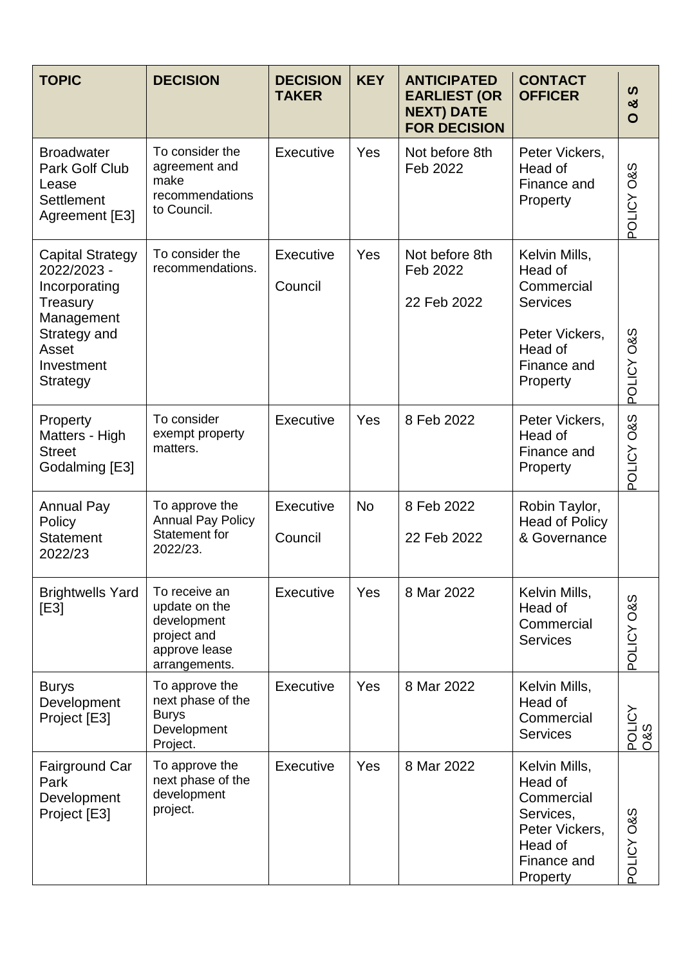| <b>TOPIC</b>                                                                                               | <b>DECISION</b>                                                                                | <b>DECISION</b><br><b>TAKER</b> | <b>KEY</b> | <b>ANTICIPATED</b><br><b>EARLIEST (OR</b><br><b>NEXT) DATE</b><br><b>FOR DECISION</b> | <b>CONTACT</b><br><b>OFFICER</b>                                                                            | ທ<br>ఱ<br>O           |
|------------------------------------------------------------------------------------------------------------|------------------------------------------------------------------------------------------------|---------------------------------|------------|---------------------------------------------------------------------------------------|-------------------------------------------------------------------------------------------------------------|-----------------------|
| <b>Broadwater</b><br>Park Golf Club<br>Lease<br><b>Settlement</b><br>Agreement [E3]                        | To consider the<br>agreement and<br>make<br>recommendations<br>to Council.                     | Executive                       | Yes        | Not before 8th<br>Feb 2022                                                            | Peter Vickers,<br>Head of<br>Finance and<br>Property                                                        | <b>S&amp;O ADITOc</b> |
| <b>Capital Strategy</b><br>2022/2023 -<br>Incorporating<br>Treasury<br>Management<br>Strategy and<br>Asset | To consider the<br>recommendations.                                                            | Executive<br>Council            | Yes        | Not before 8th<br>Feb 2022<br>22 Feb 2022                                             | Kelvin Mills,<br>Head of<br>Commercial<br><b>Services</b><br>Peter Vickers,<br>Head of                      |                       |
| Investment<br>Strategy                                                                                     |                                                                                                |                                 |            |                                                                                       | Finance and<br>Property                                                                                     | POLICY O&S            |
| Property<br>Matters - High<br><b>Street</b><br>Godalming [E3]                                              | To consider<br>exempt property<br>matters.                                                     | Executive                       | Yes        | 8 Feb 2022                                                                            | Peter Vickers,<br>Head of<br>Finance and<br>Property                                                        | POLICY O&S            |
| <b>Annual Pay</b><br>Policy<br><b>Statement</b><br>2022/23                                                 | To approve the<br><b>Annual Pay Policy</b><br><b>Statement for</b><br>2022/23.                 | Executive<br>Council            | <b>No</b>  | 8 Feb 2022<br>22 Feb 2022                                                             | Robin Taylor,<br><b>Head of Policy</b><br>& Governance                                                      |                       |
| <b>Brightwells Yard</b><br>[E3]                                                                            | To receive an<br>update on the<br>development<br>project and<br>approve lease<br>arrangements. | Executive                       | Yes        | 8 Mar 2022                                                                            | Kelvin Mills,<br>Head of<br>Commercial<br><b>Services</b>                                                   | POLICY O&S            |
| <b>Burys</b><br>Development<br>Project [E3]                                                                | To approve the<br>next phase of the<br><b>Burys</b><br>Development<br>Project.                 | Executive                       | Yes        | 8 Mar 2022                                                                            | Kelvin Mills,<br>Head of<br>Commercial<br><b>Services</b>                                                   | POLICY<br>O&S         |
| Fairground Car<br>Park<br>Development<br>Project [E3]                                                      | To approve the<br>next phase of the<br>development<br>project.                                 | Executive                       | Yes        | 8 Mar 2022                                                                            | Kelvin Mills,<br>Head of<br>Commercial<br>Services,<br>Peter Vickers,<br>Head of<br>Finance and<br>Property | POLICY O&S            |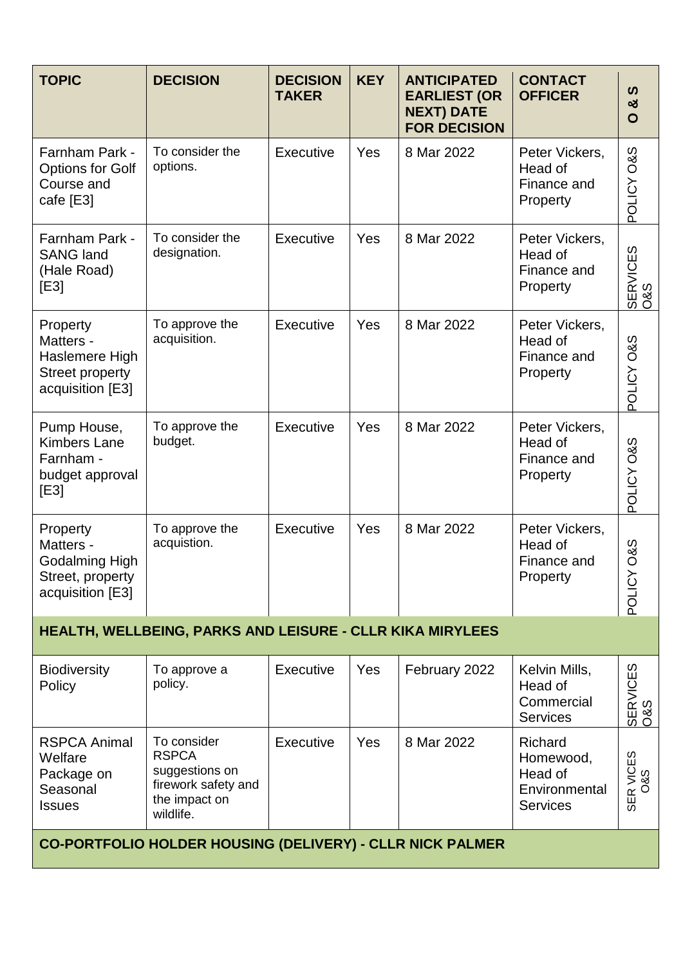| <b>TOPIC</b>                                                                          | <b>DECISION</b>                                                                                    | <b>DECISION</b><br><b>TAKER</b> | <b>KEY</b> | <b>ANTICIPATED</b><br><b>EARLIEST (OR</b><br><b>NEXT) DATE</b><br><b>FOR DECISION</b> | <b>CONTACT</b><br><b>OFFICER</b>                                    | ທ<br>ఱ<br>$\mathbf O$          |  |  |
|---------------------------------------------------------------------------------------|----------------------------------------------------------------------------------------------------|---------------------------------|------------|---------------------------------------------------------------------------------------|---------------------------------------------------------------------|--------------------------------|--|--|
| Farnham Park -<br><b>Options for Golf</b><br>Course and<br>cafe [E3]                  | To consider the<br>options.                                                                        | <b>Executive</b>                | Yes        | 8 Mar 2022                                                                            | Peter Vickers,<br>Head of<br>Finance and<br>Property                | POLICY O&S                     |  |  |
| Farnham Park -<br><b>SANG land</b><br>(Hale Road)<br>[E3]                             | To consider the<br>designation.                                                                    | <b>Executive</b>                | Yes        | 8 Mar 2022                                                                            | Peter Vickers,<br>Head of<br>Finance and<br>Property                | SERVICES<br>O&S                |  |  |
| Property<br>Matters -<br>Haslemere High<br><b>Street property</b><br>acquisition [E3] | To approve the<br>acquisition.                                                                     | <b>Executive</b>                | Yes        | 8 Mar 2022                                                                            | Peter Vickers,<br>Head of<br>Finance and<br>Property                | <b>S&amp;O ADITOc</b>          |  |  |
| Pump House,<br><b>Kimbers Lane</b><br>Farnham -<br>budget approval<br>[E3]            | To approve the<br>budget.                                                                          | <b>Executive</b>                | Yes        | 8 Mar 2022                                                                            | Peter Vickers,<br>Head of<br>Finance and<br>Property                | POLICY O&S                     |  |  |
| Property<br>Matters -<br>Godalming High<br>Street, property<br>acquisition [E3]       | To approve the<br>acquistion.                                                                      | Executive                       | Yes        | 8 Mar 2022                                                                            | Peter Vickers,<br>Head of<br>Finance and<br>Property                | <b>O&amp;S</b><br><b>AOLIO</b> |  |  |
|                                                                                       | <b>HEALTH, WELLBEING, PARKS AND LEISURE - CLLR KIKA MIRYLEES</b>                                   |                                 |            |                                                                                       |                                                                     |                                |  |  |
| <b>Biodiversity</b><br>Policy                                                         | To approve a<br>policy.                                                                            | <b>Executive</b>                | Yes        | February 2022                                                                         | Kelvin Mills,<br>Head of<br>Commercial<br><b>Services</b>           | SERVICES<br>O&S                |  |  |
| <b>RSPCA Animal</b><br>Welfare<br>Package on<br>Seasonal<br><b>Issues</b>             | To consider<br><b>RSPCA</b><br>suggestions on<br>firework safety and<br>the impact on<br>wildlife. | Executive                       | Yes        | 8 Mar 2022                                                                            | Richard<br>Homewood,<br>Head of<br>Environmental<br><b>Services</b> | SER VICES<br>O&S               |  |  |
| CO-PORTFOLIO HOLDER HOUSING (DELIVERY) - CLLR NICK PALMER                             |                                                                                                    |                                 |            |                                                                                       |                                                                     |                                |  |  |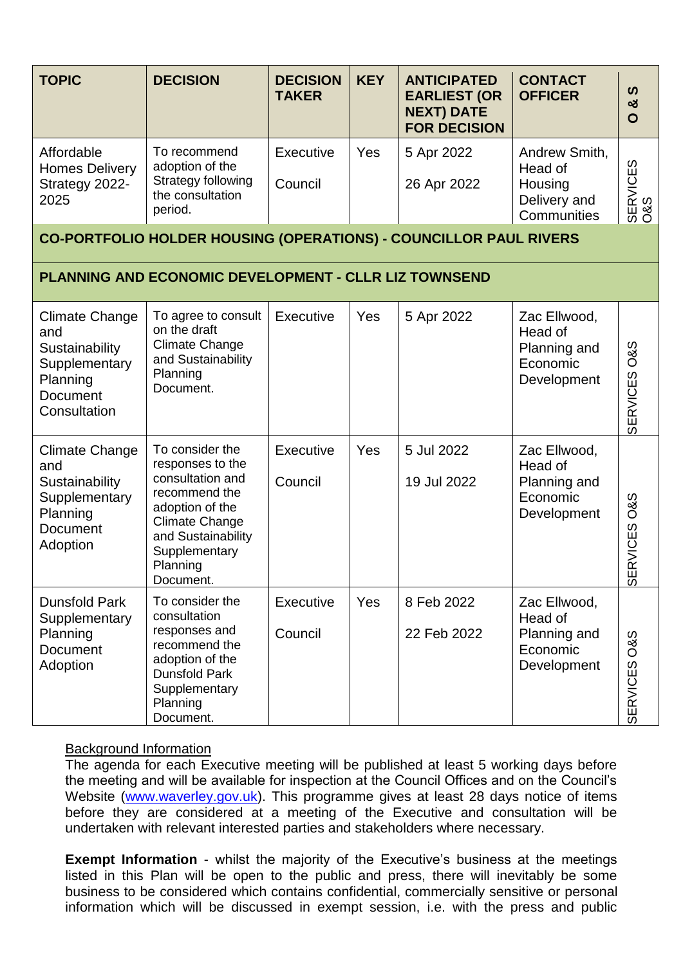| <b>TOPIC</b>                                                                                                   | <b>DECISION</b>                                                                                                                                                                      | <b>DECISION</b><br><b>TAKER</b> | <b>KEY</b> | <b>ANTICIPATED</b><br><b>EARLIEST (OR</b><br><b>NEXT) DATE</b><br><b>FOR DECISION</b> | <b>CONTACT</b><br><b>OFFICER</b>                                   | ທ<br>ఱ<br>O                                      |
|----------------------------------------------------------------------------------------------------------------|--------------------------------------------------------------------------------------------------------------------------------------------------------------------------------------|---------------------------------|------------|---------------------------------------------------------------------------------------|--------------------------------------------------------------------|--------------------------------------------------|
| Affordable<br><b>Homes Delivery</b><br>Strategy 2022-<br>2025                                                  | To recommend<br>adoption of the<br>Strategy following<br>the consultation<br>period.                                                                                                 | <b>Executive</b><br>Council     | Yes        | 5 Apr 2022<br>26 Apr 2022                                                             | Andrew Smith,<br>Head of<br>Housing<br>Delivery and<br>Communities | SERVICES<br>0&S                                  |
|                                                                                                                | <b>CO-PORTFOLIO HOLDER HOUSING (OPERATIONS) - COUNCILLOR PAUL RIVERS</b>                                                                                                             |                                 |            |                                                                                       |                                                                    |                                                  |
|                                                                                                                | <b>PLANNING AND ECONOMIC DEVELOPMENT - CLLR LIZ TOWNSEND</b>                                                                                                                         |                                 |            |                                                                                       |                                                                    |                                                  |
| <b>Climate Change</b><br>and<br>Sustainability<br>Supplementary<br>Planning<br><b>Document</b><br>Consultation | To agree to consult<br>on the draft<br><b>Climate Change</b><br>and Sustainability<br>Planning<br>Document.                                                                          | Executive                       | Yes        | 5 Apr 2022                                                                            | Zac Ellwood,<br>Head of<br>Planning and<br>Economic<br>Development | <b>O&amp;S</b><br><b>SERVICES</b>                |
| <b>Climate Change</b><br>and<br>Sustainability<br>Supplementary<br>Planning<br><b>Document</b><br>Adoption     | To consider the<br>responses to the<br>consultation and<br>recommend the<br>adoption of the<br><b>Climate Change</b><br>and Sustainability<br>Supplementary<br>Planning<br>Document. | Executive<br>Council            | Yes        | 5 Jul 2022<br>19 Jul 2022                                                             | Zac Ellwood,<br>Head of<br>Planning and<br>Economic<br>Development | <b>O&amp;S</b><br>ERVICES<br>$\overline{\sigma}$ |
| <b>Dunsfold Park</b><br>Supplementary<br>Planning<br><b>Document</b><br>Adoption                               | To consider the<br>consultation<br>responses and<br>recommend the<br>adoption of the<br><b>Dunsfold Park</b><br>Supplementary<br>Planning<br>Document.                               | Executive<br>Council            | Yes        | 8 Feb 2022<br>22 Feb 2022                                                             | Zac Ellwood,<br>Head of<br>Planning and<br>Economic<br>Development | SERVICES O&S                                     |

## Background Information

The agenda for each Executive meeting will be published at least 5 working days before the meeting and will be available for inspection at the Council Offices and on the Council's Website [\(www.waverley.gov.uk\)](http://www.waverley.gov.uk/). This programme gives at least 28 days notice of items before they are considered at a meeting of the Executive and consultation will be undertaken with relevant interested parties and stakeholders where necessary.

**Exempt Information** - whilst the majority of the Executive's business at the meetings listed in this Plan will be open to the public and press, there will inevitably be some business to be considered which contains confidential, commercially sensitive or personal information which will be discussed in exempt session, i.e. with the press and public